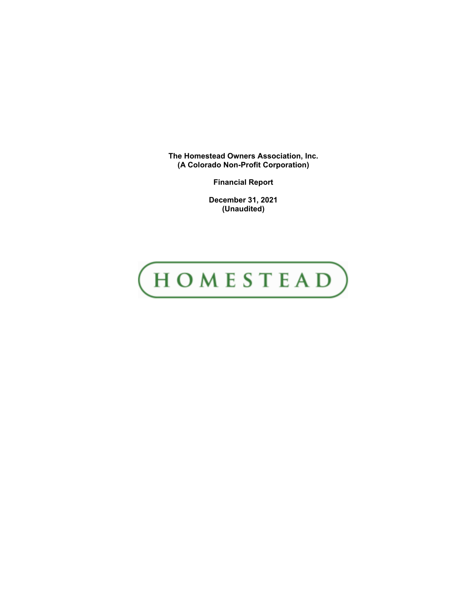**The Homestead Owners Association, Inc. (A Colorado Non-Profit Corporation)**

**Financial Report**

**December 31, 2021 (Unaudited)**

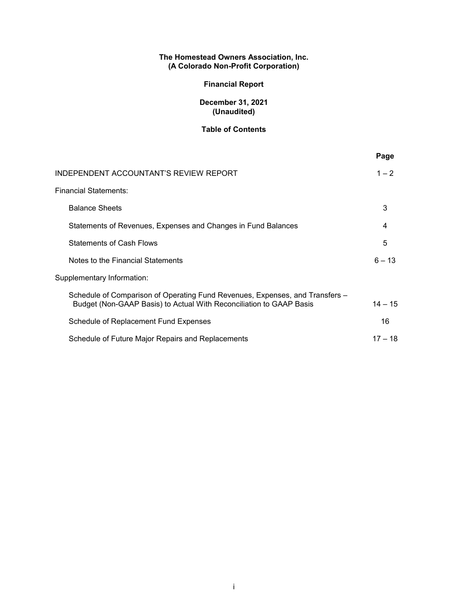# **The Homestead Owners Association, Inc. (A Colorado Non-Profit Corporation)**

# **Financial Report**

# **December 31, 2021 (Unaudited)**

# **Table of Contents**

|                                                                                                                                                     | Page      |
|-----------------------------------------------------------------------------------------------------------------------------------------------------|-----------|
| INDEPENDENT ACCOUNTANT'S REVIEW REPORT                                                                                                              | $1 - 2$   |
| <b>Financial Statements:</b>                                                                                                                        |           |
| <b>Balance Sheets</b>                                                                                                                               | 3         |
| Statements of Revenues, Expenses and Changes in Fund Balances                                                                                       | 4         |
| <b>Statements of Cash Flows</b>                                                                                                                     | 5         |
| Notes to the Financial Statements                                                                                                                   | $6 - 13$  |
| Supplementary Information:                                                                                                                          |           |
| Schedule of Comparison of Operating Fund Revenues, Expenses, and Transfers -<br>Budget (Non-GAAP Basis) to Actual With Reconciliation to GAAP Basis | $14 - 15$ |
| Schedule of Replacement Fund Expenses                                                                                                               | 16        |
| Schedule of Future Major Repairs and Replacements                                                                                                   | $17 - 18$ |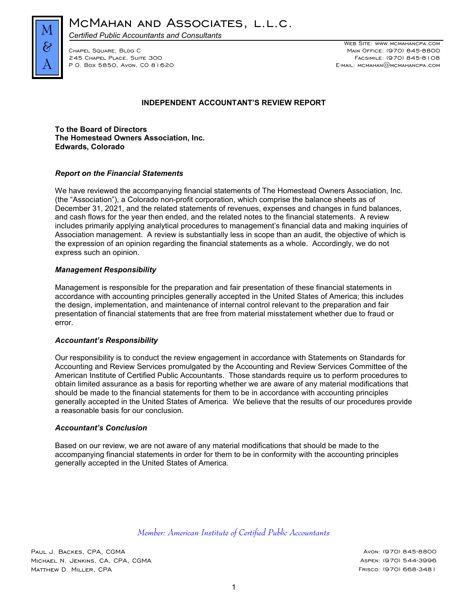

MCMAHAN AND ASSOCIATES, L.L.C.

*Certified Public Accountants and Consultants*

P.O. Box 5850, Avon, CO 81620

WEB SITE: WWW.MCMAHANCPA.COM Chapel Square, Bldg C Main Office: (970) 845-8800 245 Chapel Place, Suite 300 Facsimile: (970) 845-8108

# **INDEPENDENT ACCOUNTANT'S REVIEW REPORT**

**To the Board of Directors The Homestead Owners Association, Inc. Edwards, Colorado**

### *Report on the Financial Statements*

We have reviewed the accompanying financial statements of The Homestead Owners Association, Inc. (the "Association"), a Colorado non-profit corporation, which comprise the balance sheets as of December 31, 2021, and the related statements of revenues, expenses and changes in fund balances, and cash flows for the year then ended, and the related notes to the financial statements. A review includes primarily applying analytical procedures to management's financial data and making inquiries of Association management. A review is substantially less in scope than an audit, the objective of which is the expression of an opinion regarding the financial statements as a whole. Accordingly, we do not express such an opinion.

### *Management Responsibility*

Management is responsible for the preparation and fair presentation of these financial statements in accordance with accounting principles generally accepted in the United States of America; this includes the design, implementation, and maintenance of internal control relevant to the preparation and fair presentation of financial statements that are free from material misstatement whether due to fraud or error.

#### *Accountant's Responsibility*

Our responsibility is to conduct the review engagement in accordance with Statements on Standards for Accounting and Review Services promulgated by the Accounting and Review Services Committee of the American Institute of Certified Public Accountants. Those standards require us to perform procedures to obtain limited assurance as a basis for reporting whether we are aware of any material modifications that should be made to the financial statements for them to be in accordance with accounting principles generally accepted in the United States of America. We believe that the results of our procedures provide a reasonable basis for our conclusion.

#### *Accountant's Conclusion*

Based on our review, we are not aware of any material modifications that should be made to the accompanying financial statements in order for them to be in conformity with the accounting principles generally accepted in the United States of America.

*Member: American Institute of Certified Public Accountants*

Paul J. Backes, CPA, CGMA Avon: (970) 845-8800 Michael N. Jenkins, CA, CPA, CGMA Aspen: (970) 544-3996 MATTHEW D. MILLER, CPA Frisco: (970) 668-3481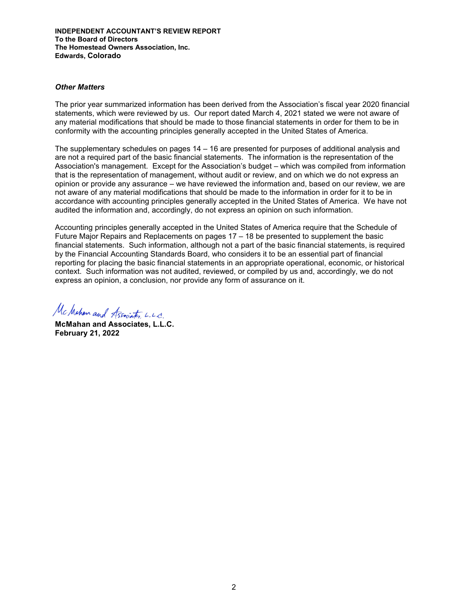**INDEPENDENT ACCOUNTANT'S REVIEW REPORT To the Board of Directors The Homestead Owners Association, Inc. Edwards, Colorado**

#### *Other Matters*

The prior year summarized information has been derived from the Association's fiscal year 2020 financial statements, which were reviewed by us. Our report dated March 4, 2021 stated we were not aware of any material modifications that should be made to those financial statements in order for them to be in conformity with the accounting principles generally accepted in the United States of America.

The supplementary schedules on pages 14 – 16 are presented for purposes of additional analysis and are not a required part of the basic financial statements. The information is the representation of the Association's management. Except for the Association's budget – which was compiled from information that is the representation of management, without audit or review, and on which we do not express an opinion or provide any assurance – we have reviewed the information and, based on our review, we are not aware of any material modifications that should be made to the information in order for it to be in accordance with accounting principles generally accepted in the United States of America. We have not audited the information and, accordingly, do not express an opinion on such information.

Accounting principles generally accepted in the United States of America require that the Schedule of Future Major Repairs and Replacements on pages 17 – 18 be presented to supplement the basic financial statements. Such information, although not a part of the basic financial statements, is required by the Financial Accounting Standards Board, who considers it to be an essential part of financial reporting for placing the basic financial statements in an appropriate operational, economic, or historical context. Such information was not audited, reviewed, or compiled by us and, accordingly, we do not express an opinion, a conclusion, nor provide any form of assurance on it.

Mc Mahan and Associates, L.L.C.

**McMahan and Associates, L.L.C. February 21, 2022**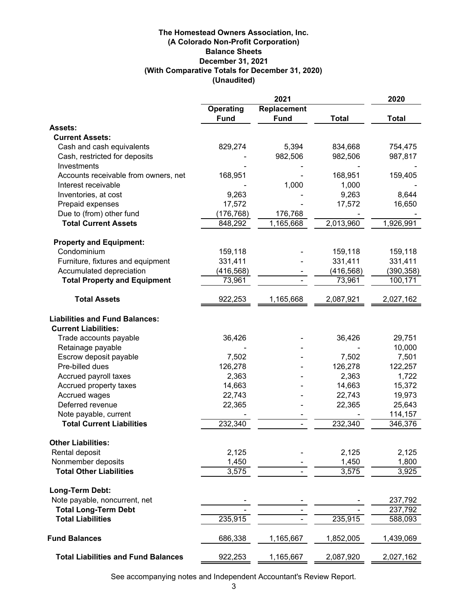# **The Homestead Owners Association, Inc. (With Comparative Totals for December 31, 2020) (Unaudited) December 31, 2021 Balance Sheets (A Colorado Non-Profit Corporation)**

|                                            | 2021        |             |              | 2020         |
|--------------------------------------------|-------------|-------------|--------------|--------------|
|                                            | Operating   | Replacement |              |              |
|                                            | <b>Fund</b> | <b>Fund</b> | <b>Total</b> | <b>Total</b> |
| <b>Assets:</b>                             |             |             |              |              |
| <b>Current Assets:</b>                     |             |             |              |              |
| Cash and cash equivalents                  | 829,274     | 5,394       | 834,668      | 754,475      |
| Cash, restricted for deposits              |             | 982,506     | 982,506      | 987,817      |
| Investments                                |             |             |              |              |
| Accounts receivable from owners, net       | 168,951     |             | 168,951      | 159,405      |
| Interest receivable                        |             | 1,000       | 1,000        |              |
| Inventories, at cost                       | 9,263       |             | 9,263        | 8,644        |
| Prepaid expenses                           | 17,572      |             | 17,572       | 16,650       |
| Due to (from) other fund                   | (176, 768)  | 176,768     |              |              |
| <b>Total Current Assets</b>                | 848,292     | 1,165,668   | 2,013,960    | 1,926,991    |
| <b>Property and Equipment:</b>             |             |             |              |              |
| Condominium                                | 159,118     |             | 159,118      | 159,118      |
| Furniture, fixtures and equipment          | 331,411     |             | 331,411      | 331,411      |
| Accumulated depreciation                   | (416, 568)  |             | (416, 568)   | (390, 358)   |
| <b>Total Property and Equipment</b>        | 73,961      |             | 73,961       | 100,171      |
| <b>Total Assets</b>                        | 922,253     | 1,165,668   | 2,087,921    | 2,027,162    |
| <b>Liabilities and Fund Balances:</b>      |             |             |              |              |
| <b>Current Liabilities:</b>                |             |             |              |              |
| Trade accounts payable                     | 36,426      |             | 36,426       | 29,751       |
| Retainage payable                          |             |             |              | 10,000       |
| Escrow deposit payable                     | 7,502       |             | 7,502        | 7,501        |
| Pre-billed dues                            | 126,278     |             | 126,278      | 122,257      |
| Accrued payroll taxes                      | 2,363       |             | 2,363        | 1,722        |
| Accrued property taxes                     | 14,663      |             | 14,663       | 15,372       |
| Accrued wages                              | 22,743      |             | 22,743       | 19,973       |
| Deferred revenue                           | 22,365      |             | 22,365       | 25,643       |
| Note payable, current                      |             |             |              | 114,157      |
| <b>Total Current Liabilities</b>           | 232,340     |             | 232,340      | 346,376      |
| <b>Other Liabilities:</b>                  |             |             |              |              |
| Rental deposit                             | 2,125       |             | 2,125        | 2,125        |
| Nonmember deposits                         | 1,450       |             | 1,450        | 1,800        |
| <b>Total Other Liabilities</b>             | 3,575       |             | 3,575        | 3,925        |
| Long-Term Debt:                            |             |             |              |              |
| Note payable, noncurrent, net              |             |             |              | 237,792      |
| <b>Total Long-Term Debt</b>                |             |             |              | 237,792      |
| <b>Total Liabilities</b>                   | 235,915     |             | 235,915      | 588,093      |
| <b>Fund Balances</b>                       | 686,338     | 1,165,667   | 1,852,005    | 1,439,069    |
| <b>Total Liabilities and Fund Balances</b> | 922,253     | 1,165,667   | 2,087,920    | 2,027,162    |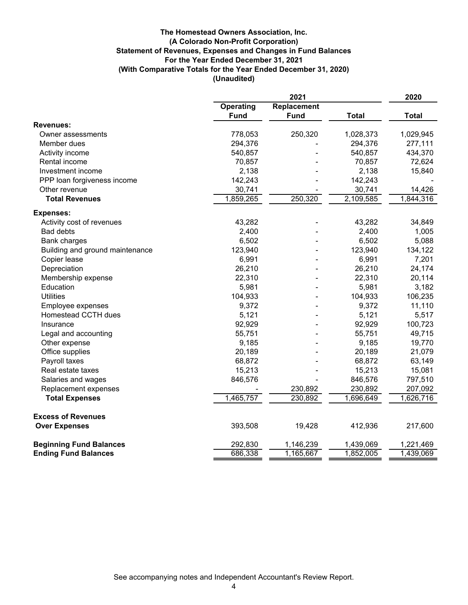# **For the Year Ended December 31, 2021 Statement of Revenues, Expenses and Changes in Fund Balances (A Colorado Non-Profit Corporation) The Homestead Owners Association, Inc. (With Comparative Totals for the Year Ended December 31, 2020) (Unaudited)**

|                                 | 2021        |             |              | 2020         |
|---------------------------------|-------------|-------------|--------------|--------------|
|                                 | Operating   | Replacement |              |              |
|                                 | <b>Fund</b> | <b>Fund</b> | <b>Total</b> | <b>Total</b> |
| <b>Revenues:</b>                |             |             |              |              |
| Owner assessments               | 778,053     | 250,320     | 1,028,373    | 1,029,945    |
| Member dues                     | 294,376     |             | 294,376      | 277,111      |
| Activity income                 | 540,857     |             | 540,857      | 434,370      |
| Rental income                   | 70,857      |             | 70,857       | 72,624       |
| Investment income               | 2,138       |             | 2,138        | 15,840       |
| PPP loan forgiveness income     | 142,243     |             | 142,243      |              |
| Other revenue                   | 30,741      |             | 30,741       | 14,426       |
| <b>Total Revenues</b>           | 1,859,265   | 250,320     | 2,109,585    | 1,844,316    |
| <b>Expenses:</b>                |             |             |              |              |
| Activity cost of revenues       | 43,282      |             | 43,282       | 34,849       |
| <b>Bad debts</b>                | 2,400       |             | 2,400        | 1,005        |
| <b>Bank charges</b>             | 6,502       |             | 6,502        | 5,088        |
| Building and ground maintenance | 123,940     |             | 123,940      | 134,122      |
| Copier lease                    | 6,991       |             | 6,991        | 7,201        |
| Depreciation                    | 26,210      |             | 26,210       | 24,174       |
| Membership expense              | 22,310      |             | 22,310       | 20,114       |
| Education                       | 5,981       |             | 5,981        | 3,182        |
| <b>Utilities</b>                | 104,933     |             | 104,933      | 106,235      |
| Employee expenses               | 9,372       |             | 9,372        | 11,110       |
| Homestead CCTH dues             | 5,121       |             | 5,121        | 5,517        |
| Insurance                       | 92,929      |             | 92,929       | 100,723      |
| Legal and accounting            | 55,751      |             | 55,751       | 49,715       |
| Other expense                   | 9,185       |             | 9,185        | 19,770       |
| Office supplies                 | 20,189      |             | 20,189       | 21,079       |
| Payroll taxes                   | 68,872      |             | 68,872       | 63,149       |
| Real estate taxes               | 15,213      |             | 15,213       | 15,081       |
| Salaries and wages              | 846,576     |             | 846,576      | 797,510      |
| Replacement expenses            |             | 230,892     | 230,892      | 207,092      |
| <b>Total Expenses</b>           | 1,465,757   | 230,892     | 1,696,649    | 1,626,716    |
| <b>Excess of Revenues</b>       |             |             |              |              |
| <b>Over Expenses</b>            | 393,508     | 19,428      | 412,936      | 217,600      |
|                                 |             |             |              |              |
| <b>Beginning Fund Balances</b>  | 292,830     | 1,146,239   | 1,439,069    | 1,221,469    |
| <b>Ending Fund Balances</b>     | 686,338     | 1,165,667   | 1,852,005    | 1,439,069    |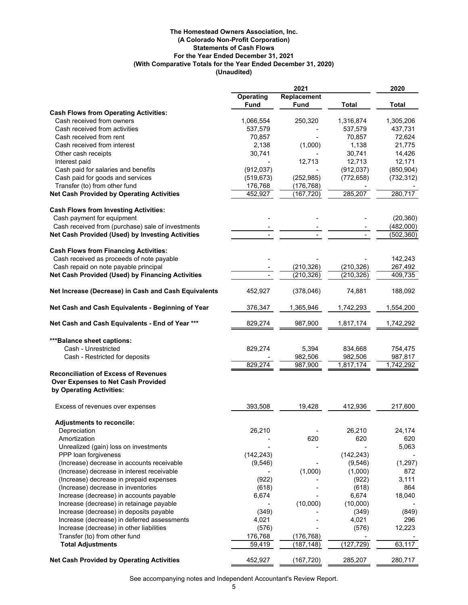#### **(A Colorado Non-Profit Corporation) The Homestead Owners Association, Inc. (Unaudited) (With Comparative Totals for the Year Ended December 31, 2020) For the Year Ended December 31, 2021 Statements of Cash Flows**

|                                                                | 2021              |                         |              | 2020         |
|----------------------------------------------------------------|-------------------|-------------------------|--------------|--------------|
|                                                                | <b>Operating</b>  | Replacement             |              |              |
| <b>Cash Flows from Operating Activities:</b>                   | <b>Fund</b>       | Fund                    | <b>Total</b> | <b>Total</b> |
| Cash received from owners                                      | 1,066,554         | 250,320                 | 1,316,874    | 1,305,206    |
| Cash received from activities                                  | 537,579           |                         | 537,579      | 437,731      |
| Cash received from rent                                        | 70,857            |                         | 70,857       | 72.624       |
| Cash received from interest                                    | 2,138             | (1,000)                 | 1,138        | 21,775       |
| Other cash receipts                                            | 30,741            |                         | 30,741       | 14,426       |
| Interest paid                                                  |                   | 12,713                  | 12,713       | 12,171       |
| Cash paid for salaries and benefits                            | (912, 037)        |                         | (912, 037)   | (850, 904)   |
| Cash paid for goods and services                               | (519, 673)        | (252, 985)              | (772, 658)   | (732, 312)   |
| Transfer (to) from other fund                                  | 176,768           | (176, 768)              |              |              |
| <b>Net Cash Provided by Operating Activities</b>               | 452,927           | (167, 720)              | 285,207      | 280,717      |
| <b>Cash Flows from Investing Activities:</b>                   |                   |                         |              |              |
| Cash payment for equipment                                     |                   |                         |              | (20, 360)    |
| Cash received from (purchase) sale of investments              |                   |                         |              | (482,000)    |
| Net Cash Provided (Used) by Investing Activities               |                   |                         |              | (502, 360)   |
| <b>Cash Flows from Financing Activities:</b>                   |                   |                         |              |              |
| Cash received as proceeds of note payable                      |                   |                         |              | 142,243      |
| Cash repaid on note payable principal                          |                   | (210, 326)              | (210, 326)   | 267,492      |
| Net Cash Provided (Used) by Financing Activities               |                   | (210, 326)              | (210, 326)   | 409,735      |
| Net Increase (Decrease) in Cash and Cash Equivalents           | 452,927           | (378, 046)              | 74,881       | 188,092      |
| Net Cash and Cash Equivalents - Beginning of Year              | 376,347           | 1,365,946               | 1,742,293    | 1,554,200    |
| Net Cash and Cash Equivalents - End of Year ***                | 829,274           | 987,900                 | 1,817,174    | 1,742,292    |
| *** Balance sheet captions:                                    |                   |                         |              |              |
| Cash - Unrestricted                                            | 829,274           | 5,394                   | 834,668      | 754,475      |
| Cash - Restricted for deposits                                 |                   | 982,506                 | 982,506      | 987,817      |
|                                                                | 829,274           | 987,900                 | 1,817,174    | 1,742,292    |
| <b>Reconciliation of Excess of Revenues</b>                    |                   |                         |              |              |
| Over Expenses to Net Cash Provided<br>by Operating Activities: |                   |                         |              |              |
| Excess of revenues over expenses                               | 393,508           | 19,428                  | 412,936      | 217,600      |
| <b>Adjustments to reconcile:</b>                               |                   |                         |              |              |
| Depreciation                                                   | 26,210            |                         | 26,210       | 24,174       |
| Amortization                                                   |                   | 620                     | 620          | 620          |
| Unrealized (gain) loss on investments                          |                   |                         |              | 5,063        |
| PPP loan forgiveness                                           | (142, 243)        |                         | (142, 243)   |              |
| (Increase) decrease in accounts receivable                     | (9, 546)          |                         | (9,546)      | (1, 297)     |
| (Increase) decrease in interest receivable                     |                   | (1,000)                 | (1,000)      | 872          |
| (Increase) decrease in prepaid expenses                        | (922)             |                         | (922)        | 3,111        |
| (Increase) decrease in inventories                             | (618)             |                         | (618)        | 864          |
| Increase (decrease) in accounts payable                        | 6,674             |                         | 6,674        | 18,040       |
| Increase (decrease) in retainage payable                       |                   | (10,000)                | (10,000)     |              |
| Increase (decrease) in deposits payable                        | (349)             |                         | (349)        | (849)        |
| Increase (decrease) in deferred assessments                    | 4,021             |                         | 4,021        | 296          |
| Increase (decrease) in other liabilities                       | (576)             |                         | (576)        | 12,223       |
| Transfer (to) from other fund<br><b>Total Adjustments</b>      | 176,768<br>59,419 | (176, 768)<br>(187,148) | (127, 729)   | 63,117       |
|                                                                |                   |                         |              |              |
| <b>Net Cash Provided by Operating Activities</b>               | 452,927           | (167, 720)              | 285,207      | 280,717      |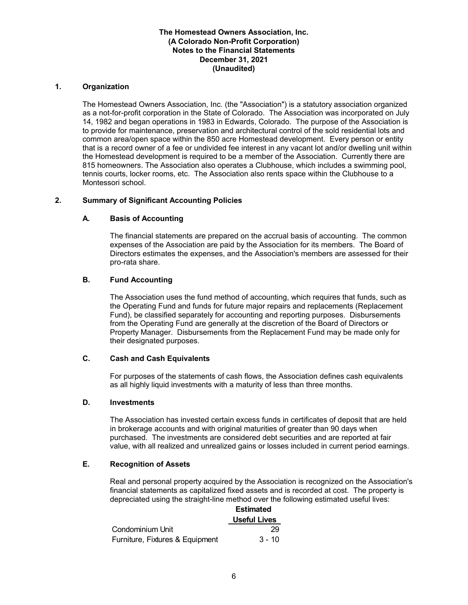### **1. Organization**

The Homestead Owners Association, Inc. (the "Association") is a statutory association organized as a not-for-profit corporation in the State of Colorado. The Association was incorporated on July 14, 1982 and began operations in 1983 in Edwards, Colorado. The purpose of the Association is to provide for maintenance, preservation and architectural control of the sold residential lots and common area/open space within the 850 acre Homestead development. Every person or entity that is a record owner of a fee or undivided fee interest in any vacant lot and/or dwelling unit within the Homestead development is required to be a member of the Association. Currently there are 815 homeowners. The Association also operates a Clubhouse, which includes a swimming pool, tennis courts, locker rooms, etc. The Association also rents space within the Clubhouse to a Montessori school.

### **2. Summary of Significant Accounting Policies**

# **A. Basis of Accounting**

The financial statements are prepared on the accrual basis of accounting. The common expenses of the Association are paid by the Association for its members. The Board of Directors estimates the expenses, and the Association's members are assessed for their pro-rata share.

### **B. Fund Accounting**

The Association uses the fund method of accounting, which requires that funds, such as the Operating Fund and funds for future major repairs and replacements (Replacement Fund), be classified separately for accounting and reporting purposes. Disbursements from the Operating Fund are generally at the discretion of the Board of Directors or Property Manager. Disbursements from the Replacement Fund may be made only for their designated purposes.

### **C. Cash and Cash Equivalents**

For purposes of the statements of cash flows, the Association defines cash equivalents as all highly liquid investments with a maturity of less than three months.

#### **D. Investments**

The Association has invested certain excess funds in certificates of deposit that are held in brokerage accounts and with original maturities of greater than 90 days when purchased. The investments are considered debt securities and are reported at fair value, with all realized and unrealized gains or losses included in current period earnings.

#### **E. Recognition of Assets**

Real and personal property acquired by the Association is recognized on the Association's financial statements as capitalized fixed assets and is recorded at cost. The property is depreciated using the straight-line method over the following estimated useful lives:

|                                 | <b>Estimated</b>    |  |
|---------------------------------|---------------------|--|
|                                 | <b>Useful Lives</b> |  |
| Condominium Unit                | 29                  |  |
| Furniture, Fixtures & Equipment | $3 - 10$            |  |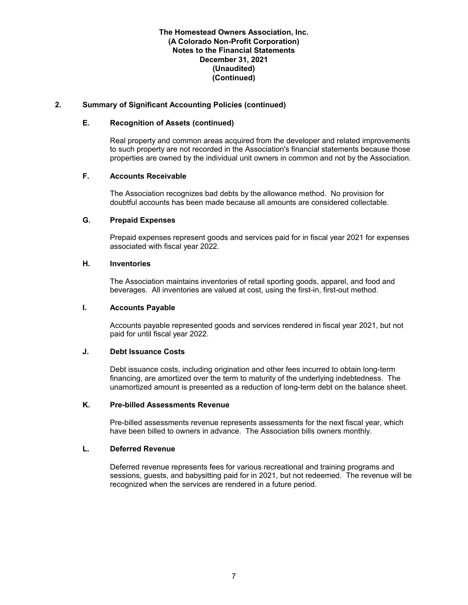### **2. Summary of Significant Accounting Policies (continued)**

#### **E. Recognition of Assets (continued)**

Real property and common areas acquired from the developer and related improvements to such property are not recorded in the Association's financial statements because those properties are owned by the individual unit owners in common and not by the Association.

#### **F. Accounts Receivable**

The Association recognizes bad debts by the allowance method. No provision for doubtful accounts has been made because all amounts are considered collectable.

#### **G. Prepaid Expenses**

Prepaid expenses represent goods and services paid for in fiscal year 2021 for expenses associated with fiscal year 2022.

#### **H. Inventories**

The Association maintains inventories of retail sporting goods, apparel, and food and beverages. All inventories are valued at cost, using the first-in, first-out method.

### **I. Accounts Payable**

Accounts payable represented goods and services rendered in fiscal year 2021, but not paid for until fiscal year 2022.

### **J. Debt Issuance Costs**

Debt issuance costs, including origination and other fees incurred to obtain long-term financing, are amortized over the term to maturity of the underlying indebtedness. The unamortized amount is presented as a reduction of long-term debt on the balance sheet.

### **K. Pre-billed Assessments Revenue**

Pre-billed assessments revenue represents assessments for the next fiscal year, which have been billed to owners in advance. The Association bills owners monthly.

#### **L. Deferred Revenue**

Deferred revenue represents fees for various recreational and training programs and sessions, guests, and babysitting paid for in 2021, but not redeemed. The revenue will be recognized when the services are rendered in a future period.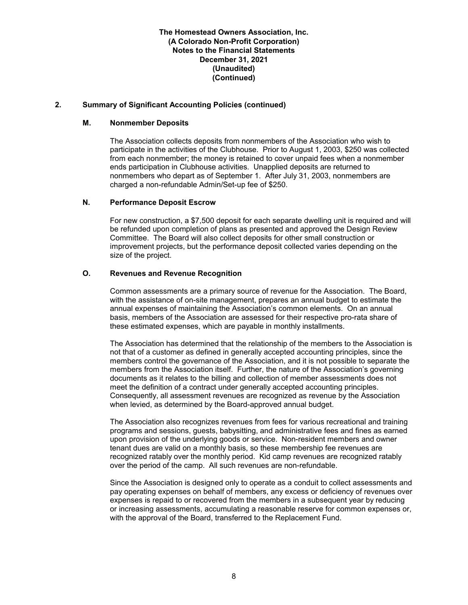## **2. Summary of Significant Accounting Policies (continued)**

#### **M. Nonmember Deposits**

The Association collects deposits from nonmembers of the Association who wish to participate in the activities of the Clubhouse. Prior to August 1, 2003, \$250 was collected from each nonmember; the money is retained to cover unpaid fees when a nonmember ends participation in Clubhouse activities. Unapplied deposits are returned to nonmembers who depart as of September 1. After July 31, 2003, nonmembers are charged a non-refundable Admin/Set-up fee of \$250.

#### **N. Performance Deposit Escrow**

For new construction, a \$7,500 deposit for each separate dwelling unit is required and will be refunded upon completion of plans as presented and approved the Design Review Committee. The Board will also collect deposits for other small construction or improvement projects, but the performance deposit collected varies depending on the size of the project.

### **O. Revenues and Revenue Recognition**

Common assessments are a primary source of revenue for the Association. The Board, with the assistance of on-site management, prepares an annual budget to estimate the annual expenses of maintaining the Association's common elements. On an annual basis, members of the Association are assessed for their respective pro-rata share of these estimated expenses, which are payable in monthly installments.

The Association has determined that the relationship of the members to the Association is not that of a customer as defined in generally accepted accounting principles, since the members control the governance of the Association, and it is not possible to separate the members from the Association itself. Further, the nature of the Association's governing documents as it relates to the billing and collection of member assessments does not meet the definition of a contract under generally accepted accounting principles. Consequently, all assessment revenues are recognized as revenue by the Association when levied, as determined by the Board-approved annual budget.

The Association also recognizes revenues from fees for various recreational and training programs and sessions, guests, babysitting, and administrative fees and fines as earned upon provision of the underlying goods or service. Non-resident members and owner tenant dues are valid on a monthly basis, so these membership fee revenues are recognized ratably over the monthly period. Kid camp revenues are recognized ratably over the period of the camp. All such revenues are non-refundable.

Since the Association is designed only to operate as a conduit to collect assessments and pay operating expenses on behalf of members, any excess or deficiency of revenues over expenses is repaid to or recovered from the members in a subsequent year by reducing or increasing assessments, accumulating a reasonable reserve for common expenses or, with the approval of the Board, transferred to the Replacement Fund.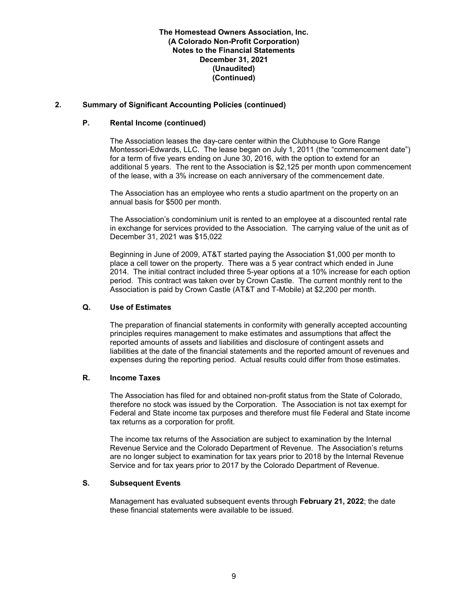## **2. Summary of Significant Accounting Policies (continued)**

#### **P. Rental Income (continued)**

The Association leases the day-care center within the Clubhouse to Gore Range Montessori-Edwards, LLC. The lease began on July 1, 2011 (the "commencement date") for a term of five years ending on June 30, 2016, with the option to extend for an additional 5 years. The rent to the Association is \$2,125 per month upon commencement of the lease, with a 3% increase on each anniversary of the commencement date.

The Association has an employee who rents a studio apartment on the property on an annual basis for \$500 per month.

The Association's condominium unit is rented to an employee at a discounted rental rate in exchange for services provided to the Association. The carrying value of the unit as of December 31, 2021 was \$15,022

Beginning in June of 2009, AT&T started paying the Association \$1,000 per month to place a cell tower on the property. There was a 5 year contract which ended in June 2014. The initial contract included three 5-year options at a 10% increase for each option period. This contract was taken over by Crown Castle. The current monthly rent to the Association is paid by Crown Castle (AT&T and T-Mobile) at \$2,200 per month.

### **Q. Use of Estimates**

The preparation of financial statements in conformity with generally accepted accounting principles requires management to make estimates and assumptions that affect the reported amounts of assets and liabilities and disclosure of contingent assets and liabilities at the date of the financial statements and the reported amount of revenues and expenses during the reporting period. Actual results could differ from those estimates.

## **R. Income Taxes**

The Association has filed for and obtained non-profit status from the State of Colorado, therefore no stock was issued by the Corporation. The Association is not tax exempt for Federal and State income tax purposes and therefore must file Federal and State income tax returns as a corporation for profit.

The income tax returns of the Association are subject to examination by the Internal Revenue Service and the Colorado Department of Revenue. The Association's returns are no longer subject to examination for tax years prior to 2018 by the Internal Revenue Service and for tax years prior to 2017 by the Colorado Department of Revenue.

# **S. Subsequent Events**

Management has evaluated subsequent events through **February 21, 2022**; the date these financial statements were available to be issued.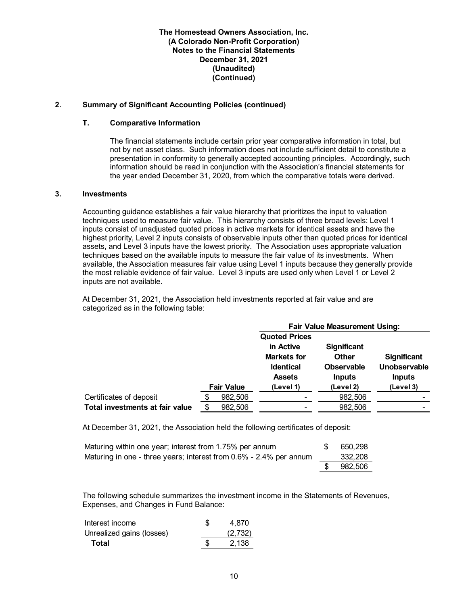## **2. Summary of Significant Accounting Policies (continued)**

#### **T. Comparative Information**

The financial statements include certain prior year comparative information in total, but not by net asset class. Such information does not include sufficient detail to constitute a presentation in conformity to generally accepted accounting principles. Accordingly, such information should be read in conjunction with the Association's financial statements for the year ended December 31, 2020, from which the comparative totals were derived.

#### **3. Investments**

Accounting guidance establishes a fair value hierarchy that prioritizes the input to valuation techniques used to measure fair value. This hierarchy consists of three broad levels: Level 1 inputs consist of unadjusted quoted prices in active markets for identical assets and have the highest priority, Level 2 inputs consists of observable inputs other than quoted prices for identical assets, and Level 3 inputs have the lowest priority. The Association uses appropriate valuation techniques based on the available inputs to measure the fair value of its investments. When available, the Association measures fair value using Level 1 inputs because they generally provide the most reliable evidence of fair value. Level 3 inputs are used only when Level 1 or Level 2 inputs are not available.

At December 31, 2021, the Association held investments reported at fair value and are categorized as in the following table:

|                                 |                   | <b>Fair Value Measurement Using:</b> |                    |                    |  |
|---------------------------------|-------------------|--------------------------------------|--------------------|--------------------|--|
|                                 |                   | <b>Quoted Prices</b>                 |                    |                    |  |
|                                 |                   | in Active                            | <b>Significant</b> |                    |  |
|                                 |                   | <b>Markets for</b>                   | <b>Other</b>       | <b>Significant</b> |  |
|                                 |                   | <b>Identical</b>                     | <b>Observable</b>  | Unobservable       |  |
|                                 |                   | <b>Assets</b>                        | <b>Inputs</b>      | <b>Inputs</b>      |  |
|                                 | <b>Fair Value</b> | (Level 1)                            | (Level 2)          | (Level 3)          |  |
| Certificates of deposit         | 982,506           |                                      | 982,506            |                    |  |
| Total investments at fair value | 982,506           |                                      | 982,506            |                    |  |

At December 31, 2021, the Association held the following certificates of deposit:

| Maturing within one year; interest from 1.75% per annum            | -SS | 650.298 |
|--------------------------------------------------------------------|-----|---------|
| Maturing in one - three years; interest from 0.6% - 2.4% per annum |     | 332,208 |
|                                                                    |     | 982,506 |

The following schedule summarizes the investment income in the Statements of Revenues, Expenses, and Changes in Fund Balance:

| Interest income           | \$<br>4.870 |
|---------------------------|-------------|
| Unrealized gains (losses) | (2,732)     |
| Total                     | 2.138       |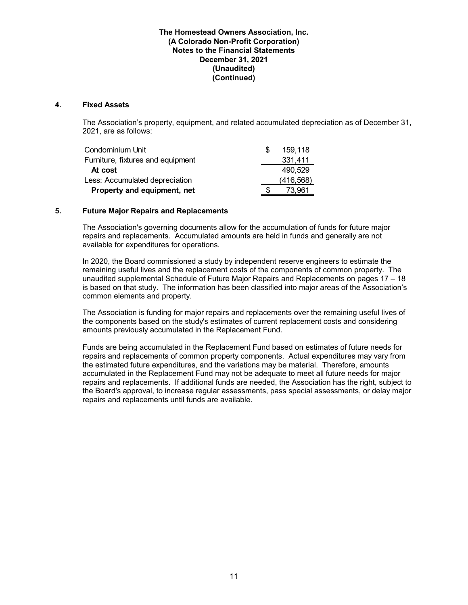#### **4. Fixed Assets**

The Association's property, equipment, and related accumulated depreciation as of December 31, 2021, are as follows:

| Condominium Unit                  | 159,118    |
|-----------------------------------|------------|
| Furniture, fixtures and equipment | 331,411    |
| At cost                           | 490.529    |
| Less: Accumulated depreciation    | (416, 568) |
| Property and equipment, net       | 73.961     |

### **5. Future Major Repairs and Replacements**

The Association's governing documents allow for the accumulation of funds for future major repairs and replacements. Accumulated amounts are held in funds and generally are not available for expenditures for operations.

In 2020, the Board commissioned a study by independent reserve engineers to estimate the remaining useful lives and the replacement costs of the components of common property. The unaudited supplemental Schedule of Future Major Repairs and Replacements on pages 17 – 18 is based on that study. The information has been classified into major areas of the Association's common elements and property.

The Association is funding for major repairs and replacements over the remaining useful lives of the components based on the study's estimates of current replacement costs and considering amounts previously accumulated in the Replacement Fund.

Funds are being accumulated in the Replacement Fund based on estimates of future needs for repairs and replacements of common property components. Actual expenditures may vary from the estimated future expenditures, and the variations may be material. Therefore, amounts accumulated in the Replacement Fund may not be adequate to meet all future needs for major repairs and replacements. If additional funds are needed, the Association has the right, subject to the Board's approval, to increase regular assessments, pass special assessments, or delay major repairs and replacements until funds are available.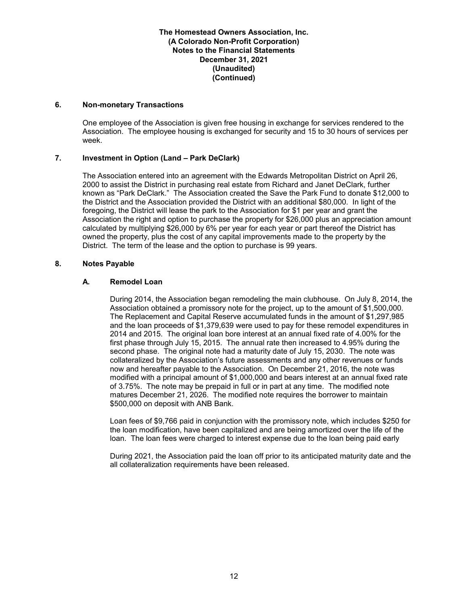### **6. Non-monetary Transactions**

One employee of the Association is given free housing in exchange for services rendered to the Association. The employee housing is exchanged for security and 15 to 30 hours of services per week.

### **7. Investment in Option (Land – Park DeClark)**

The Association entered into an agreement with the Edwards Metropolitan District on April 26, 2000 to assist the District in purchasing real estate from Richard and Janet DeClark, further known as "Park DeClark." The Association created the Save the Park Fund to donate \$12,000 to the District and the Association provided the District with an additional \$80,000. In light of the foregoing, the District will lease the park to the Association for \$1 per year and grant the Association the right and option to purchase the property for \$26,000 plus an appreciation amount calculated by multiplying \$26,000 by 6% per year for each year or part thereof the District has owned the property, plus the cost of any capital improvements made to the property by the District. The term of the lease and the option to purchase is 99 years.

### **8. Notes Payable**

## **A. Remodel Loan**

During 2014, the Association began remodeling the main clubhouse. On July 8, 2014, the Association obtained a promissory note for the project, up to the amount of \$1,500,000. The Replacement and Capital Reserve accumulated funds in the amount of \$1,297,985 and the loan proceeds of \$1,379,639 were used to pay for these remodel expenditures in 2014 and 2015. The original loan bore interest at an annual fixed rate of 4.00% for the first phase through July 15, 2015. The annual rate then increased to 4.95% during the second phase. The original note had a maturity date of July 15, 2030. The note was collateralized by the Association's future assessments and any other revenues or funds now and hereafter payable to the Association. On December 21, 2016, the note was modified with a principal amount of \$1,000,000 and bears interest at an annual fixed rate of 3.75%. The note may be prepaid in full or in part at any time. The modified note matures December 21, 2026. The modified note requires the borrower to maintain \$500,000 on deposit with ANB Bank.

Loan fees of \$9,766 paid in conjunction with the promissory note, which includes \$250 for the loan modification, have been capitalized and are being amortized over the life of the loan. The loan fees were charged to interest expense due to the loan being paid early

During 2021, the Association paid the loan off prior to its anticipated maturity date and the all collateralization requirements have been released.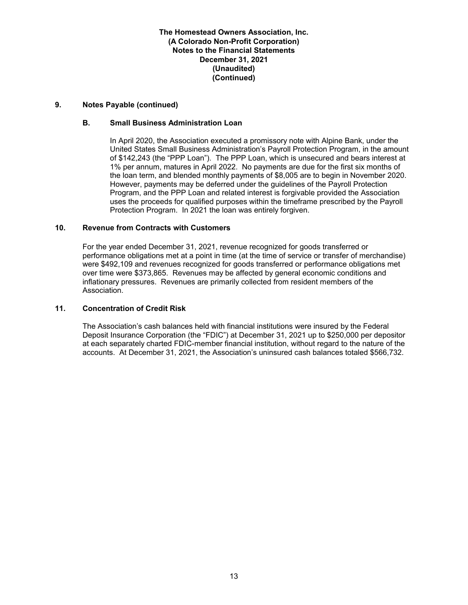### **9. Notes Payable (continued)**

### **B. Small Business Administration Loan**

In April 2020, the Association executed a promissory note with Alpine Bank, under the United States Small Business Administration's Payroll Protection Program, in the amount of \$142,243 (the "PPP Loan"). The PPP Loan, which is unsecured and bears interest at 1% per annum, matures in April 2022. No payments are due for the first six months of the loan term, and blended monthly payments of \$8,005 are to begin in November 2020. However, payments may be deferred under the guidelines of the Payroll Protection Program, and the PPP Loan and related interest is forgivable provided the Association uses the proceeds for qualified purposes within the timeframe prescribed by the Payroll Protection Program. In 2021 the loan was entirely forgiven.

#### **10. Revenue from Contracts with Customers**

For the year ended December 31, 2021, revenue recognized for goods transferred or performance obligations met at a point in time (at the time of service or transfer of merchandise) were \$492,109 and revenues recognized for goods transferred or performance obligations met over time were \$373,865. Revenues may be affected by general economic conditions and inflationary pressures. Revenues are primarily collected from resident members of the Association.

#### **11. Concentration of Credit Risk**

The Association's cash balances held with financial institutions were insured by the Federal Deposit Insurance Corporation (the "FDIC") at December 31, 2021 up to \$250,000 per depositor at each separately charted FDIC-member financial institution, without regard to the nature of the accounts. At December 31, 2021, the Association's uninsured cash balances totaled \$566,732.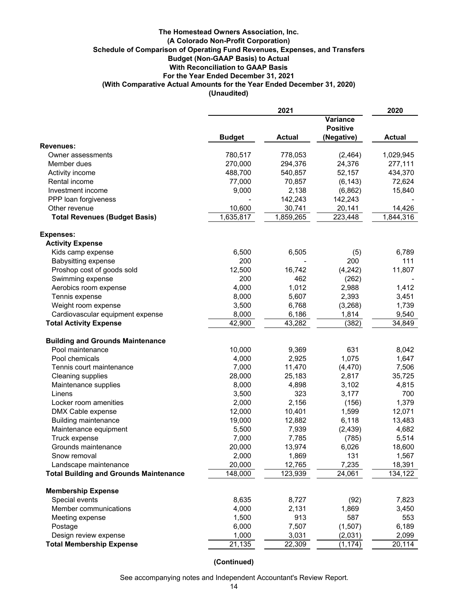#### **The Homestead Owners Association, Inc. (A Colorado Non-Profit Corporation) Schedule of Comparison of Operating Fund Revenues, Expenses, and Transfers Budget (Non-GAAP Basis) to Actual With Reconciliation to GAAP Basis For the Year Ended December 31, 2021 (With Comparative Actual Amounts for the Year Ended December 31, 2020) (Unaudited)**

|                                               | 2021          |                                    |            | 2020          |
|-----------------------------------------------|---------------|------------------------------------|------------|---------------|
|                                               |               | <b>Variance</b><br><b>Positive</b> |            |               |
|                                               | <b>Budget</b> | <b>Actual</b>                      | (Negative) | <b>Actual</b> |
| <b>Revenues:</b>                              |               |                                    |            |               |
| Owner assessments                             | 780,517       | 778,053                            | (2,464)    | 1,029,945     |
| Member dues                                   | 270,000       | 294,376                            | 24,376     | 277,111       |
| Activity income                               | 488,700       | 540,857                            | 52,157     | 434,370       |
| Rental income                                 | 77,000        | 70,857                             | (6, 143)   | 72,624        |
| Investment income                             | 9,000         | 2,138                              | (6, 862)   | 15,840        |
| PPP loan forgiveness                          |               | 142,243                            | 142,243    |               |
| Other revenue                                 | 10,600        | 30,741                             | 20,141     | 14,426        |
| <b>Total Revenues (Budget Basis)</b>          | 1,635,817     | 1,859,265                          | 223,448    | 1,844,316     |
| <b>Expenses:</b>                              |               |                                    |            |               |
| <b>Activity Expense</b>                       |               |                                    |            |               |
| Kids camp expense                             | 6,500         | 6,505                              | (5)        | 6,789         |
| <b>Babysitting expense</b>                    | 200           |                                    | 200        | 111           |
| Proshop cost of goods sold                    | 12,500        | 16,742                             | (4,242)    | 11,807        |
| Swimming expense                              | 200           | 462                                | (262)      |               |
| Aerobics room expense                         | 4,000         | 1,012                              | 2,988      | 1,412         |
| Tennis expense                                | 8,000         | 5,607                              | 2,393      | 3,451         |
| Weight room expense                           | 3,500         | 6,768                              | (3,268)    | 1,739         |
| Cardiovascular equipment expense              | 8,000         | 6,186                              | 1,814      | 9,540         |
| <b>Total Activity Expense</b>                 | 42,900        | 43,282                             | (382)      | 34,849        |
| <b>Building and Grounds Maintenance</b>       |               |                                    |            |               |
| Pool maintenance                              | 10,000        | 9,369                              | 631        | 8,042         |
| Pool chemicals                                | 4,000         | 2,925                              | 1,075      | 1,647         |
| Tennis court maintenance                      | 7,000         | 11,470                             | (4, 470)   | 7,506         |
| Cleaning supplies                             | 28,000        | 25,183                             | 2,817      | 35,725        |
| Maintenance supplies                          | 8,000         | 4,898                              | 3,102      | 4,815         |
| Linens                                        | 3,500         | 323                                | 3,177      | 700           |
| Locker room amenities                         | 2,000         | 2,156                              | (156)      | 1,379         |
| DMX Cable expense                             | 12,000        | 10,401                             | 1,599      | 12,071        |
| <b>Building maintenance</b>                   | 19,000        | 12,882                             | 6,118      | 13,483        |
| Maintenance equipment                         | 5,500         | 7,939                              | (2, 439)   | 4,682         |
| Truck expense                                 | 7,000         | 7,785                              | (785)      | 5,514         |
| Grounds maintenance                           | 20,000        | 13,974                             | 6,026      | 18,600        |
| Snow removal                                  | 2,000         | 1,869                              | 131        | 1,567         |
| Landscape maintenance                         | 20,000        | 12,765                             | 7,235      | 18,391        |
| <b>Total Building and Grounds Maintenance</b> | 148,000       | 123,939                            | 24,061     | 134,122       |
| <b>Membership Expense</b>                     |               |                                    |            |               |
| Special events                                | 8,635         | 8,727                              | (92)       | 7,823         |
| Member communications                         | 4,000         | 2,131                              | 1,869      | 3,450         |
| Meeting expense                               | 1,500         | 913                                | 587        | 553           |
| Postage                                       | 6,000         | 7,507                              | (1,507)    | 6,189         |
| Design review expense                         | 1,000         | 3,031                              | (2,031)    | 2,099         |
| <b>Total Membership Expense</b>               | 21,135        | 22,309                             | (1, 174)   | 20,114        |

**(Continued)**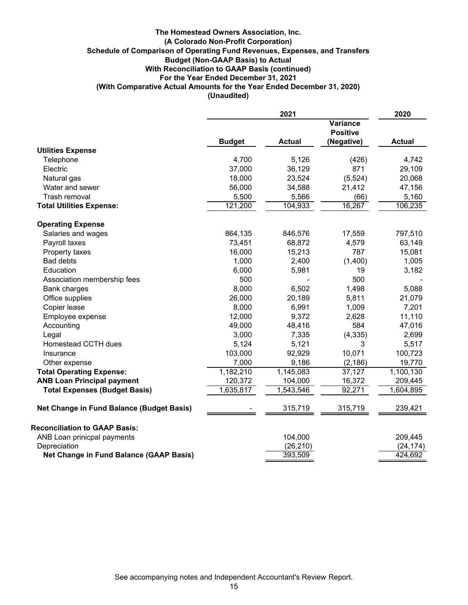### **Schedule of Comparison of Operating Fund Revenues, Expenses, and Transfers (A Colorado Non-Profit Corporation) The Homestead Owners Association, Inc. (Unaudited) (With Comparative Actual Amounts for the Year Ended December 31, 2020) For the Year Ended December 31, 2021 With Reconciliation to GAAP Basis (continued) Budget (Non-GAAP Basis) to Actual**

|                                           | 2021          |                        | 2020                                             |               |
|-------------------------------------------|---------------|------------------------|--------------------------------------------------|---------------|
|                                           | <b>Budget</b> | <b>Actual</b>          | <b>Variance</b><br><b>Positive</b><br>(Negative) | <b>Actual</b> |
| <b>Utilities Expense</b>                  |               |                        |                                                  |               |
| Telephone                                 | 4,700         | 5,126                  | (426)                                            | 4,742         |
| Electric                                  | 37,000        | 36,129                 | 871                                              | 29,109        |
| Natural gas                               | 18,000        | 23,524                 | (5, 524)                                         | 20,068        |
| Water and sewer                           | 56,000        | 34,588                 | 21,412                                           | 47,156        |
| Trash removal                             | 5,500         | 5,566                  | (66)                                             | 5,160         |
| <b>Total Utilities Expense:</b>           | 121,200       | 104,933                | 16,267                                           | 106,235       |
| <b>Operating Expense</b>                  |               |                        |                                                  |               |
| Salaries and wages                        | 864,135       | 846,576                | 17,559                                           | 797,510       |
| Payroll taxes                             | 73,451        | 68,872                 | 4,579                                            | 63,149        |
| Property taxes                            | 16,000        | 15,213                 | 787                                              | 15,081        |
| <b>Bad debts</b>                          | 1,000         | 2,400                  | (1,400)                                          | 1,005         |
| Education                                 | 6,000         | 5,981                  | 19                                               | 3,182         |
| Association membership fees               | 500           |                        | 500                                              |               |
| <b>Bank charges</b>                       | 8,000         | 6,502                  | 1,498                                            | 5,088         |
| Office supplies                           | 26,000        | 20,189                 | 5,811                                            | 21,079        |
| Copier lease                              | 8,000         | 6,991                  | 1,009                                            | 7,201         |
| Employee expense                          | 12,000        | 9,372                  | 2,628                                            | 11,110        |
| Accounting                                | 49,000        | 48,416                 | 584                                              | 47,016        |
| Legal                                     | 3,000         | 7,335                  | (4, 335)                                         | 2,699         |
| Homestead CCTH dues                       | 5,124         | 5,121                  | 3                                                | 5,517         |
| Insurance                                 | 103,000       | 92,929                 | 10,071                                           | 100,723       |
| Other expense                             | 7,000         | 9,186                  | (2, 186)                                         | 19,770        |
| <b>Total Operating Expense:</b>           | 1,182,210     | $\overline{1,145,083}$ | 37,127                                           | 1,100,130     |
| <b>ANB Loan Principal payment</b>         | 120,372       | 104,000                | 16,372                                           | 209,445       |
| <b>Total Expenses (Budget Basis)</b>      | 1,635,817     | 1,543,546              | 92,271                                           | 1,604,895     |
| Net Change in Fund Balance (Budget Basis) |               | 315,719                | 315,719                                          | 239,421       |
| <b>Reconciliation to GAAP Basis:</b>      |               |                        |                                                  |               |
| ANB Loan prinicpal payments               |               | 104,000                |                                                  | 209,445       |
| Depreciation                              |               | (26, 210)              |                                                  | (24, 174)     |
| Net Change in Fund Balance (GAAP Basis)   |               | 393,509                |                                                  | 424,692       |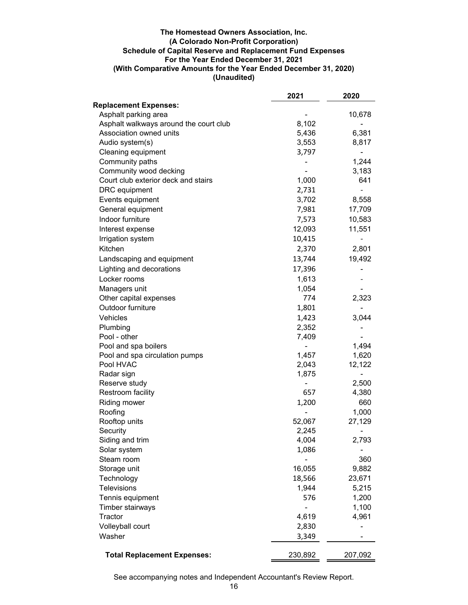### **(Unaudited) (With Comparative Amounts for the Year Ended December 31, 2020) The Homestead Owners Association, Inc. (A Colorado Non-Profit Corporation) Schedule of Capital Reserve and Replacement Fund Expenses For the Year Ended December 31, 2021**

|                                             | 2021             | 2020            |
|---------------------------------------------|------------------|-----------------|
| <b>Replacement Expenses:</b>                |                  |                 |
| Asphalt parking area                        |                  | 10,678          |
| Asphalt walkways around the court club      | 8,102            |                 |
| Association owned units                     | 5,436            | 6,381           |
| Audio system(s)                             | 3,553            | 8,817           |
| Cleaning equipment                          | 3,797            |                 |
| Community paths                             |                  | 1,244           |
| Community wood decking                      |                  | 3,183           |
| Court club exterior deck and stairs         | 1,000            | 641             |
| DRC equipment                               | 2,731            |                 |
| Events equipment                            | 3,702            | 8,558           |
| General equipment                           | 7,981            | 17,709          |
| Indoor furniture                            | 7,573            | 10,583          |
| Interest expense                            | 12,093           | 11,551          |
| Irrigation system                           | 10,415           |                 |
| Kitchen                                     | 2,370            | 2,801           |
| Landscaping and equipment                   | 13,744           | 19,492          |
| Lighting and decorations                    | 17,396           |                 |
| Locker rooms                                | 1,613            |                 |
|                                             |                  |                 |
| Managers unit                               | 1,054<br>774     | 2,323           |
| Other capital expenses<br>Outdoor furniture |                  |                 |
|                                             | 1,801            |                 |
| Vehicles                                    | 1,423            | 3,044           |
| Plumbing                                    | 2,352            |                 |
| Pool - other                                | 7,409            |                 |
| Pool and spa boilers                        |                  | 1,494           |
| Pool and spa circulation pumps<br>Pool HVAC | 1,457<br>2,043   | 1,620<br>12,122 |
| Radar sign                                  | 1,875            |                 |
| Reserve study                               |                  | 2,500           |
| Restroom facility                           | 657              | 4,380           |
|                                             |                  | 660             |
| <b>Riding mower</b>                         | 1,200            |                 |
| Roofing                                     |                  | 1,000           |
| Rooftop units<br>Security                   | 52,067<br>2,245  | 27,129          |
| Siding and trim                             | 4,004            | ۰<br>2,793      |
| Solar system                                | 1,086            |                 |
| Steam room                                  |                  | 360             |
|                                             |                  | 9,882           |
| Storage unit                                | 16,055<br>18,566 |                 |
| Technology<br><b>Televisions</b>            |                  | 23,671          |
|                                             | 1,944            | 5,215           |
| Tennis equipment                            | 576              | 1,200           |
| Timber stairways                            |                  | 1,100           |
| Tractor                                     | 4,619            | 4,961           |
| Volleyball court                            | 2,830            |                 |
| Washer                                      | 3,349            |                 |
| <b>Total Replacement Expenses:</b>          | 230,892          | 207,092         |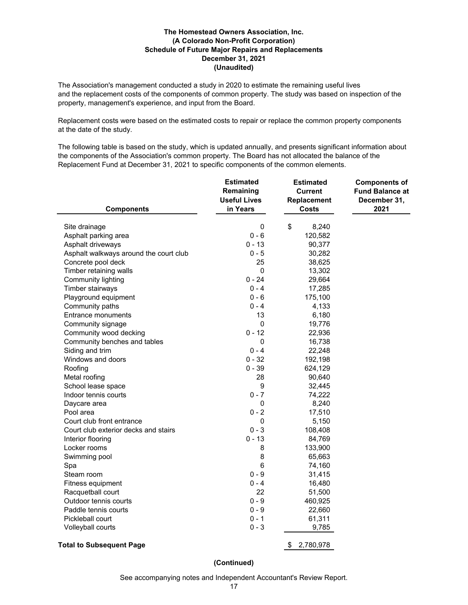### **December 31, 2021 The Homestead Owners Association, Inc. (A Colorado Non-Profit Corporation) Schedule of Future Major Repairs and Replacements (Unaudited)**

The Association's management conducted a study in 2020 to estimate the remaining useful lives and the replacement costs of the components of common property. The study was based on inspection of the property, management's experience, and input from the Board.

Replacement costs were based on the estimated costs to repair or replace the common property components at the date of the study.

The following table is based on the study, which is updated annually, and presents significant information about the components of the Association's common property. The Board has not allocated the balance of the Replacement Fund at December 31, 2021 to specific components of the common elements.

| <b>Components</b>                      | <b>Estimated</b><br>Remaining<br><b>Useful Lives</b><br>in Years | <b>Estimated</b><br><b>Current</b><br>Replacement<br><b>Costs</b> | <b>Components of</b><br><b>Fund Balance at</b><br>December 31,<br>2021 |
|----------------------------------------|------------------------------------------------------------------|-------------------------------------------------------------------|------------------------------------------------------------------------|
|                                        |                                                                  |                                                                   |                                                                        |
| Site drainage                          | 0                                                                | \$<br>8,240                                                       |                                                                        |
| Asphalt parking area                   | $0 - 6$                                                          | 120,582                                                           |                                                                        |
| Asphalt driveways                      | 0 - 13                                                           | 90,377                                                            |                                                                        |
| Asphalt walkways around the court club | $0 - 5$                                                          | 30,282                                                            |                                                                        |
| Concrete pool deck                     | 25                                                               | 38,625                                                            |                                                                        |
| Timber retaining walls                 | $\pmb{0}$                                                        | 13,302                                                            |                                                                        |
| Community lighting                     | $0 - 24$                                                         | 29,664                                                            |                                                                        |
| Timber stairways                       | $0 - 4$                                                          | 17,285                                                            |                                                                        |
| Playground equipment                   | $0 - 6$                                                          | 175,100                                                           |                                                                        |
| Community paths                        | $0 - 4$                                                          | 4,133                                                             |                                                                        |
| Entrance monuments                     | 13                                                               | 6,180                                                             |                                                                        |
| Community signage                      | 0                                                                | 19,776                                                            |                                                                        |
| Community wood decking                 | $0 - 12$                                                         | 22,936                                                            |                                                                        |
| Community benches and tables           | $\pmb{0}$                                                        | 16,738                                                            |                                                                        |
| Siding and trim                        | $0 - 4$                                                          | 22,248                                                            |                                                                        |
| Windows and doors                      | $0 - 32$                                                         | 192,198                                                           |                                                                        |
| Roofing                                | $0 - 39$                                                         | 624,129                                                           |                                                                        |
| Metal roofing                          | 28                                                               | 90,640                                                            |                                                                        |
| School lease space                     | $\boldsymbol{9}$                                                 | 32,445                                                            |                                                                        |
| Indoor tennis courts                   | $0 - 7$                                                          | 74,222                                                            |                                                                        |
| Daycare area                           | 0                                                                | 8,240                                                             |                                                                        |
| Pool area                              | $0 - 2$                                                          | 17,510                                                            |                                                                        |
| Court club front entrance              | 0                                                                | 5,150                                                             |                                                                        |
| Court club exterior decks and stairs   | $0 - 3$                                                          | 108,408                                                           |                                                                        |
| Interior flooring                      | $0 - 13$                                                         | 84,769                                                            |                                                                        |
| Locker rooms                           | 8                                                                | 133,900                                                           |                                                                        |
| Swimming pool                          | 8                                                                | 65,663                                                            |                                                                        |
| Spa                                    | $6\phantom{1}$                                                   | 74,160                                                            |                                                                        |
| Steam room                             | $0 - 9$                                                          | 31,415                                                            |                                                                        |
| Fitness equipment                      | $0 - 4$                                                          | 16,480                                                            |                                                                        |
| Racquetball court                      | 22                                                               | 51,500                                                            |                                                                        |
| Outdoor tennis courts                  | $0 - 9$                                                          | 460,925                                                           |                                                                        |
| Paddle tennis courts                   | $0 - 9$                                                          | 22,660                                                            |                                                                        |
| Pickleball court                       | $0 - 1$                                                          | 61,311                                                            |                                                                        |
| Volleyball courts                      | $0 - 3$                                                          | 9,785                                                             |                                                                        |
| <b>Total to Subsequent Page</b>        |                                                                  | \$<br>2,780,978                                                   |                                                                        |

**(Continued)**